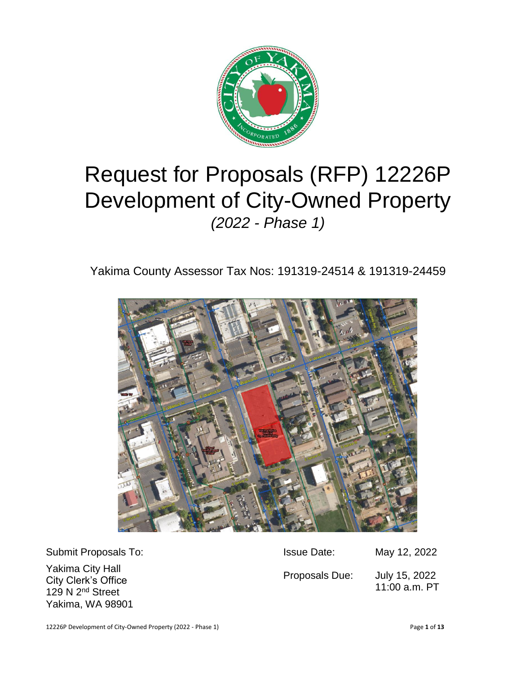

# Request for Proposals (RFP) 12226P Development of City-Owned Property *(2022 - Phase 1)*

Yakima County Assessor Tax Nos: 191319-24514 & 191319-24459



| Submit Proposals To:                                                                        | <b>Issue Date:</b> | May 12, 2022                   |
|---------------------------------------------------------------------------------------------|--------------------|--------------------------------|
| Yakima City Hall<br>City Clerk's Office<br>129 N 2 <sup>nd</sup> Street<br>Yakima, WA 98901 | Proposals Due:     | July 15, 2022<br>11:00 a.m. PT |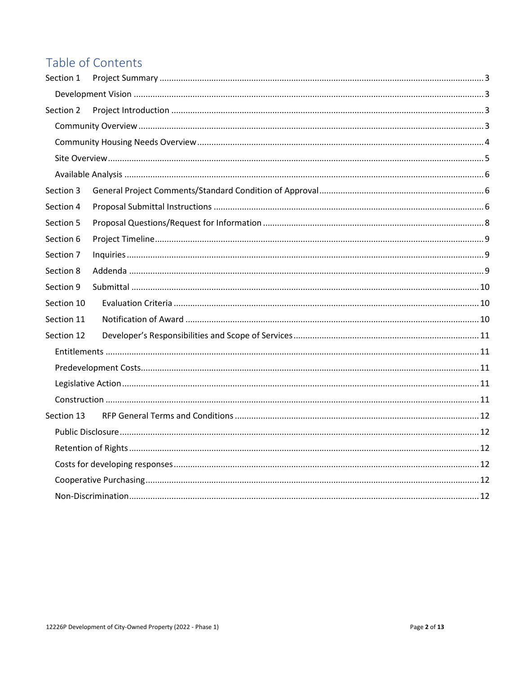# Table of Contents

| Section 1  |  |
|------------|--|
|            |  |
| Section 2  |  |
|            |  |
|            |  |
|            |  |
|            |  |
| Section 3  |  |
| Section 4  |  |
| Section 5  |  |
| Section 6  |  |
| Section 7  |  |
| Section 8  |  |
| Section 9  |  |
| Section 10 |  |
| Section 11 |  |
| Section 12 |  |
|            |  |
|            |  |
|            |  |
|            |  |
| Section 13 |  |
|            |  |
|            |  |
|            |  |
|            |  |
|            |  |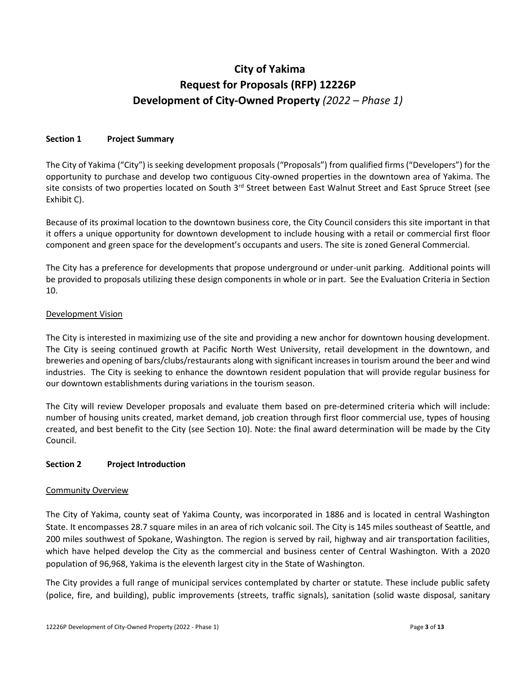# **City of Yakima Request for Proposals (RFP) 12226P Development of City-Owned Property** *(2022 – Phase 1)*

#### <span id="page-2-0"></span>**Section 1 Project Summary**

The City of Yakima ("City") is seeking development proposals ("Proposals") from qualified firms ("Developers") for the opportunity to purchase and develop two contiguous City-owned properties in the downtown area of Yakima. The site consists of two properties located on South 3<sup>rd</sup> Street between East Walnut Street and East Spruce Street (see Exhibit C).

Because of its proximal location to the downtown business core, the City Council considers this site important in that it offers a unique opportunity for downtown development to include housing with a retail or commercial first floor component and green space for the development's occupants and users. The site is zoned General Commercial.

The City has a preference for developments that propose underground or under-unit parking. Additional points will be provided to proposals utilizing these design components in whole or in part. See the Evaluation Criteria in Section 10.

#### <span id="page-2-1"></span>Development Vision

The City is interested in maximizing use of the site and providing a new anchor for downtown housing development. The City is seeing continued growth at Pacific North West University, retail development in the downtown, and breweries and opening of bars/clubs/restaurants along with significant increases in tourism around the beer and wind industries. The City is seeking to enhance the downtown resident population that will provide regular business for our downtown establishments during variations in the tourism season.

The City will review Developer proposals and evaluate them based on pre-determined criteria which will include: number of housing units created, market demand, job creation through first floor commercial use, types of housing created, and best benefit to the City (see Section 10). Note: the final award determination will be made by the City Council.

# <span id="page-2-2"></span>**Section 2 Project Introduction**

#### <span id="page-2-3"></span>Community Overview

The City of Yakima, county seat of Yakima County, was incorporated in 1886 and is located in central Washington State. It encompasses 28.7 square miles in an area of rich volcanic soil. The City is 145 miles southeast of Seattle, and 200 miles southwest of Spokane, Washington. The region is served by rail, highway and air transportation facilities, which have helped develop the City as the commercial and business center of Central Washington. With a 2020 population of 96,968, Yakima is the eleventh largest city in the State of Washington.

The City provides a full range of municipal services contemplated by charter or statute. These include public safety (police, fire, and building), public improvements (streets, traffic signals), sanitation (solid waste disposal, sanitary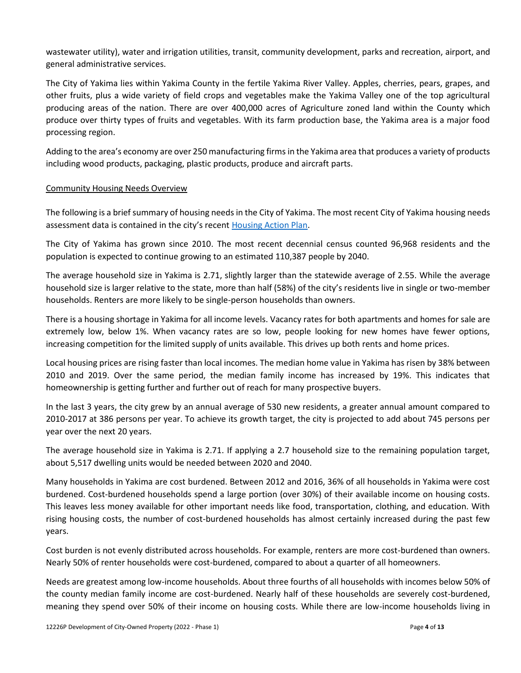wastewater utility), water and irrigation utilities, transit, community development, parks and recreation, airport, and general administrative services.

The City of Yakima lies within Yakima County in the fertile Yakima River Valley. Apples, cherries, pears, grapes, and other fruits, plus a wide variety of field crops and vegetables make the Yakima Valley one of the top agricultural producing areas of the nation. There are over 400,000 acres of Agriculture zoned land within the County which produce over thirty types of fruits and vegetables. With its farm production base, the Yakima area is a major food processing region.

Adding to the area's economy are over 250 manufacturing firms in the Yakima area that produces a variety of products including wood products, packaging, plastic products, produce and aircraft parts.

#### <span id="page-3-0"></span>Community Housing Needs Overview

The following is a brief summary of housing needs in the City of Yakima. The most recent City of Yakima housing needs assessment data is contained in the city's recent [Housing Action Plan.](https://www.yakimawa.gov/services/planning/files/2021/08/Yakima-Housing-Action-Plan-FINAL-Plan_June-2021.pdf)

The City of Yakima has grown since 2010. The most recent decennial census counted 96,968 residents and the population is expected to continue growing to an estimated 110,387 people by 2040.

The average household size in Yakima is 2.71, slightly larger than the statewide average of 2.55. While the average household size is larger relative to the state, more than half (58%) of the city's residents live in single or two-member households. Renters are more likely to be single-person households than owners.

There is a housing shortage in Yakima for all income levels. Vacancy rates for both apartments and homes for sale are extremely low, below 1%. When vacancy rates are so low, people looking for new homes have fewer options, increasing competition for the limited supply of units available. This drives up both rents and home prices.

Local housing prices are rising faster than local incomes. The median home value in Yakima has risen by 38% between 2010 and 2019. Over the same period, the median family income has increased by 19%. This indicates that homeownership is getting further and further out of reach for many prospective buyers.

In the last 3 years, the city grew by an annual average of 530 new residents, a greater annual amount compared to 2010-2017 at 386 persons per year. To achieve its growth target, the city is projected to add about 745 persons per year over the next 20 years.

The average household size in Yakima is 2.71. If applying a 2.7 household size to the remaining population target, about 5,517 dwelling units would be needed between 2020 and 2040.

Many households in Yakima are cost burdened. Between 2012 and 2016, 36% of all households in Yakima were cost burdened. Cost-burdened households spend a large portion (over 30%) of their available income on housing costs. This leaves less money available for other important needs like food, transportation, clothing, and education. With rising housing costs, the number of cost-burdened households has almost certainly increased during the past few years.

Cost burden is not evenly distributed across households. For example, renters are more cost-burdened than owners. Nearly 50% of renter households were cost-burdened, compared to about a quarter of all homeowners.

Needs are greatest among low-income households. About three fourths of all households with incomes below 50% of the county median family income are cost-burdened. Nearly half of these households are severely cost-burdened, meaning they spend over 50% of their income on housing costs. While there are low-income households living in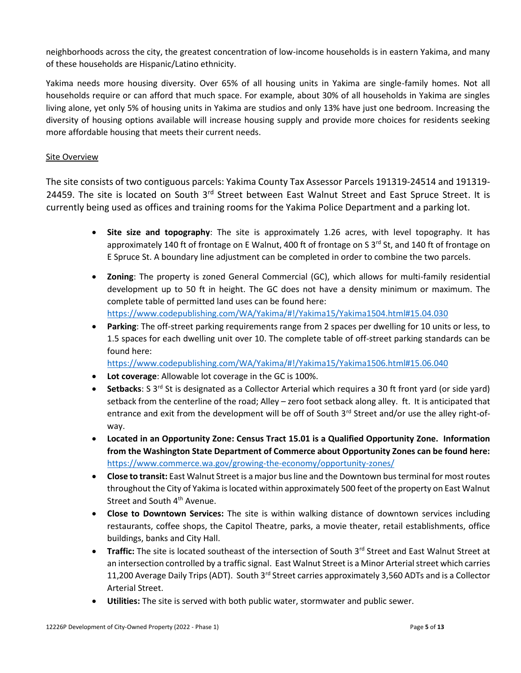neighborhoods across the city, the greatest concentration of low-income households is in eastern Yakima, and many of these households are Hispanic/Latino ethnicity.

Yakima needs more housing diversity. Over 65% of all housing units in Yakima are single-family homes. Not all households require or can afford that much space. For example, about 30% of all households in Yakima are singles living alone, yet only 5% of housing units in Yakima are studios and only 13% have just one bedroom. Increasing the diversity of housing options available will increase housing supply and provide more choices for residents seeking more affordable housing that meets their current needs.

# <span id="page-4-0"></span>Site Overview

The site consists of two contiguous parcels: Yakima County Tax Assessor Parcels 191319-24514 and 191319- 24459. The site is located on South 3rd Street between East Walnut Street and East Spruce Street. It is currently being used as offices and training rooms for the Yakima Police Department and a parking lot.

- **Site size and topography**: The site is approximately 1.26 acres, with level topography. It has approximately 140 ft of frontage on E Walnut, 400 ft of frontage on S  $3<sup>rd</sup>$  St, and 140 ft of frontage on E Spruce St. A boundary line adjustment can be completed in order to combine the two parcels.
- **Zoning**: The property is zoned General Commercial (GC), which allows for multi-family residential development up to 50 ft in height. The GC does not have a density minimum or maximum. The complete table of permitted land uses can be found here: [https://www.codepublishing.com/WA/Yakima/#!/Yakima15/Yakima1504.html#15.04.030](https://www.codepublishing.com/WA/Yakima/#!/Yakima15/Yakima1504.html)
- **Parking**: The off-street parking requirements range from 2 spaces per dwelling for 10 units or less, to 1.5 spaces for each dwelling unit over 10. The complete table of off-street parking standards can be found here:

[https://www.codepublishing.com/WA/Yakima/#!/Yakima15/Yakima1506.html#15.06.040](https://www.codepublishing.com/WA/Yakima/#!/Yakima15/Yakima1506.html)

- **Lot coverage**: Allowable lot coverage in the GC is 100%.
- **Setbacks**: S 3rd St is designated as a Collector Arterial which requires a 30 ft front yard (or side yard) setback from the centerline of the road; Alley – zero foot setback along alley. ft. It is anticipated that entrance and exit from the development will be off of South  $3<sup>rd</sup>$  Street and/or use the alley right-ofway.
- **Located in an Opportunity Zone: Census Tract 15.01 is a Qualified Opportunity Zone. Information from the Washington State Department of Commerce about Opportunity Zones can be found here:** <https://www.commerce.wa.gov/growing-the-economy/opportunity-zones/>
- **Close to transit:** East Walnut Street is a major bus line and the Downtown bus terminal for most routes throughout the City of Yakima is located within approximately 500 feet of the property on East Walnut Street and South 4<sup>th</sup> Avenue.
- **Close to Downtown Services:** The site is within walking distance of downtown services including restaurants, coffee shops, the Capitol Theatre, parks, a movie theater, retail establishments, office buildings, banks and City Hall.
- **Traffic:** The site is located southeast of the intersection of South 3<sup>rd</sup> Street and East Walnut Street at an intersection controlled by a traffic signal. East Walnut Street is a Minor Arterial street which carries 11,200 Average Daily Trips (ADT). South 3<sup>rd</sup> Street carries approximately 3,560 ADTs and is a Collector Arterial Street.
- **Utilities:** The site is served with both public water, stormwater and public sewer.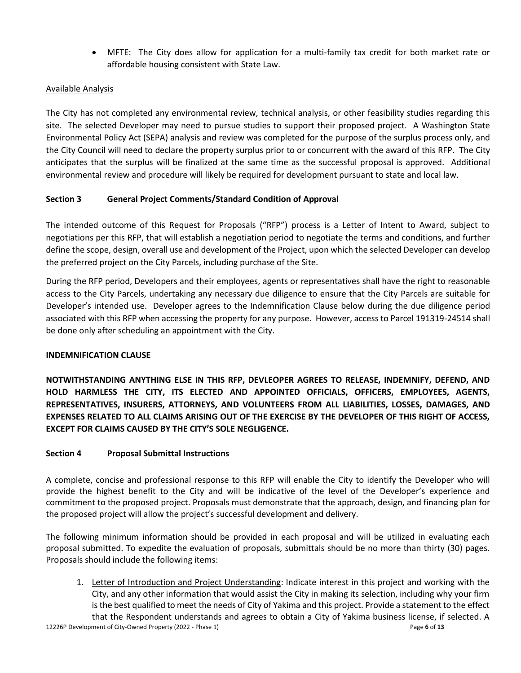• MFTE: The City does allow for application for a multi-family tax credit for both market rate or affordable housing consistent with State Law.

# <span id="page-5-0"></span>Available Analysis

The City has not completed any environmental review, technical analysis, or other feasibility studies regarding this site. The selected Developer may need to pursue studies to support their proposed project. A Washington State Environmental Policy Act (SEPA) analysis and review was completed for the purpose of the surplus process only, and the City Council will need to declare the property surplus prior to or concurrent with the award of this RFP. The City anticipates that the surplus will be finalized at the same time as the successful proposal is approved. Additional environmental review and procedure will likely be required for development pursuant to state and local law.

# <span id="page-5-1"></span>**Section 3 General Project Comments/Standard Condition of Approval**

The intended outcome of this Request for Proposals ("RFP") process is a Letter of Intent to Award, subject to negotiations per this RFP, that will establish a negotiation period to negotiate the terms and conditions, and further define the scope, design, overall use and development of the Project, upon which the selected Developer can develop the preferred project on the City Parcels, including purchase of the Site.

During the RFP period, Developers and their employees, agents or representatives shall have the right to reasonable access to the City Parcels, undertaking any necessary due diligence to ensure that the City Parcels are suitable for Developer's intended use. Developer agrees to the Indemnification Clause below during the due diligence period associated with this RFP when accessing the property for any purpose. However, access to Parcel 191319-24514 shall be done only after scheduling an appointment with the City.

# **INDEMNIFICATION CLAUSE**

**NOTWITHSTANDING ANYTHING ELSE IN THIS RFP, DEVLEOPER AGREES TO RELEASE, INDEMNIFY, DEFEND, AND HOLD HARMLESS THE CITY, ITS ELECTED AND APPOINTED OFFICIALS, OFFICERS, EMPLOYEES, AGENTS, REPRESENTATIVES, INSURERS, ATTORNEYS, AND VOLUNTEERS FROM ALL LIABILITIES, LOSSES, DAMAGES, AND EXPENSES RELATED TO ALL CLAIMS ARISING OUT OF THE EXERCISE BY THE DEVELOPER OF THIS RIGHT OF ACCESS, EXCEPT FOR CLAIMS CAUSED BY THE CITY'S SOLE NEGLIGENCE.** 

# <span id="page-5-2"></span>**Section 4 Proposal Submittal Instructions**

A complete, concise and professional response to this RFP will enable the City to identify the Developer who will provide the highest benefit to the City and will be indicative of the level of the Developer's experience and commitment to the proposed project. Proposals must demonstrate that the approach, design, and financing plan for the proposed project will allow the project's successful development and delivery.

The following minimum information should be provided in each proposal and will be utilized in evaluating each proposal submitted. To expedite the evaluation of proposals, submittals should be no more than thirty (30) pages. Proposals should include the following items:

12226P Development of City-Owned Property (2022 - Phase 1) Page **6** of **13** 1. Letter of Introduction and Project Understanding: Indicate interest in this project and working with the City, and any other information that would assist the City in making its selection, including why your firm is the best qualified to meet the needs of City of Yakima and this project. Provide a statement to the effect that the Respondent understands and agrees to obtain a [City of Yakima business license,](https://www.mercerisland.gov/finance/page/business-licenses-0) if selected. A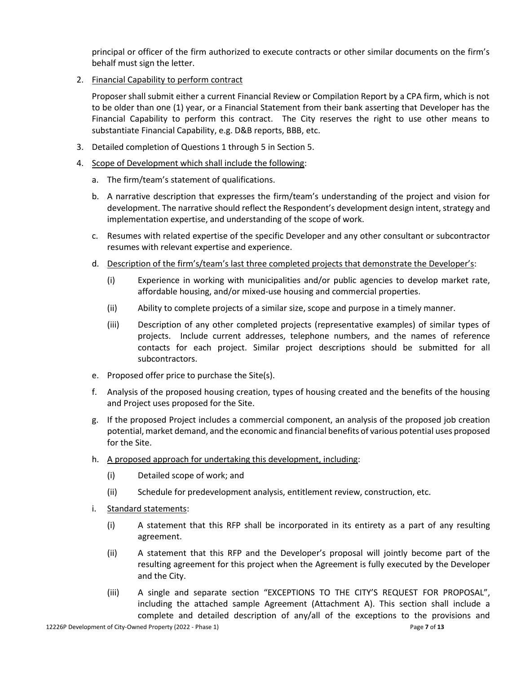principal or officer of the firm authorized to execute contracts or other similar documents on the firm's behalf must sign the letter.

2. Financial Capability to perform contract

Proposer shall submit either a current Financial Review or Compilation Report by a CPA firm, which is not to be older than one (1) year, or a Financial Statement from their bank asserting that Developer has the Financial Capability to perform this contract. The City reserves the right to use other means to substantiate Financial Capability, e.g. D&B reports, BBB, etc.

- 3. Detailed completion of Questions 1 through 5 in Section 5.
- 4. Scope of Development which shall include the following:
	- a. The firm/team's statement of qualifications.
	- b. A narrative description that expresses the firm/team's understanding of the project and vision for development. The narrative should reflect the Respondent's development design intent, strategy and implementation expertise, and understanding of the scope of work.
	- c. Resumes with related expertise of the specific Developer and any other consultant or subcontractor resumes with relevant expertise and experience.
	- d. Description of the firm's/team's last three completed projects that demonstrate the Developer's:
		- (i) Experience in working with municipalities and/or public agencies to develop market rate, affordable housing, and/or mixed-use housing and commercial properties.
		- (ii) Ability to complete projects of a similar size, scope and purpose in a timely manner.
		- (iii) Description of any other completed projects (representative examples) of similar types of projects. Include current addresses, telephone numbers, and the names of reference contacts for each project. Similar project descriptions should be submitted for all subcontractors.
	- e. Proposed offer price to purchase the Site(s).
	- f. Analysis of the proposed housing creation, types of housing created and the benefits of the housing and Project uses proposed for the Site.
	- g. If the proposed Project includes a commercial component, an analysis of the proposed job creation potential, market demand, and the economic and financial benefits of various potential uses proposed for the Site.
	- h. A proposed approach for undertaking this development, including:
		- (i) Detailed scope of work; and
		- (ii) Schedule for predevelopment analysis, entitlement review, construction, etc.
	- i. Standard statements:
		- (i) A statement that this RFP shall be incorporated in its entirety as a part of any resulting agreement.
		- (ii) A statement that this RFP and the Developer's proposal will jointly become part of the resulting agreement for this project when the Agreement is fully executed by the Developer and the City.
		- (iii) A single and separate section "EXCEPTIONS TO THE CITY'S REQUEST FOR PROPOSAL", including the attached sample Agreement (Attachment A). This section shall include a complete and detailed description of any/all of the exceptions to the provisions and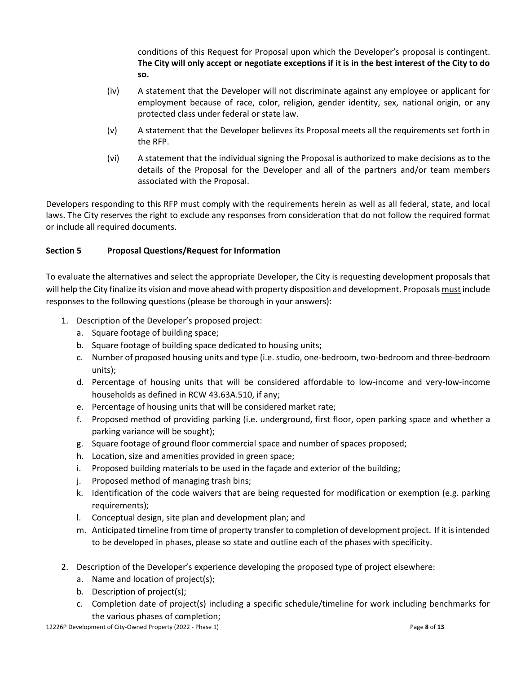conditions of this Request for Proposal upon which the Developer's proposal is contingent. **The City will only accept or negotiate exceptions if it is in the best interest of the City to do so.** 

- (iv) A statement that the Developer will not discriminate against any employee or applicant for employment because of race, color, religion, gender identity, sex, national origin, or any protected class under federal or state law.
- (v) A statement that the Developer believes its Proposal meets all the requirements set forth in the RFP.
- (vi) A statement that the individual signing the Proposal is authorized to make decisions as to the details of the Proposal for the Developer and all of the partners and/or team members associated with the Proposal.

Developers responding to this RFP must comply with the requirements herein as well as all federal, state, and local laws. The City reserves the right to exclude any responses from consideration that do not follow the required format or include all required documents.

# <span id="page-7-0"></span>**Section 5 Proposal Questions/Request for Information**

To evaluate the alternatives and select the appropriate Developer, the City is requesting development proposals that will help the City finalize its vision and move ahead with property disposition and development. Proposals must include responses to the following questions (please be thorough in your answers):

- 1. Description of the Developer's proposed project:
	- a. Square footage of building space;
	- b. Square footage of building space dedicated to housing units;
	- c. Number of proposed housing units and type (i.e. studio, one-bedroom, two-bedroom and three-bedroom units);
	- d. Percentage of housing units that will be considered affordable to low-income and very-low-income households as defined in RCW 43.63A.510, if any;
	- e. Percentage of housing units that will be considered market rate;
	- f. Proposed method of providing parking (i.e. underground, first floor, open parking space and whether a parking variance will be sought);
	- g. Square footage of ground floor commercial space and number of spaces proposed;
	- h. Location, size and amenities provided in green space;
	- i. Proposed building materials to be used in the façade and exterior of the building;
	- j. Proposed method of managing trash bins;
	- k. Identification of the code waivers that are being requested for modification or exemption (e.g. parking requirements);
	- l. Conceptual design, site plan and development plan; and
	- m. Anticipated timeline from time of property transfer to completion of development project. If it is intended to be developed in phases, please so state and outline each of the phases with specificity.
- 2. Description of the Developer's experience developing the proposed type of project elsewhere:
	- a. Name and location of project(s);
	- b. Description of project(s);
	- c. Completion date of project(s) including a specific schedule/timeline for work including benchmarks for the various phases of completion;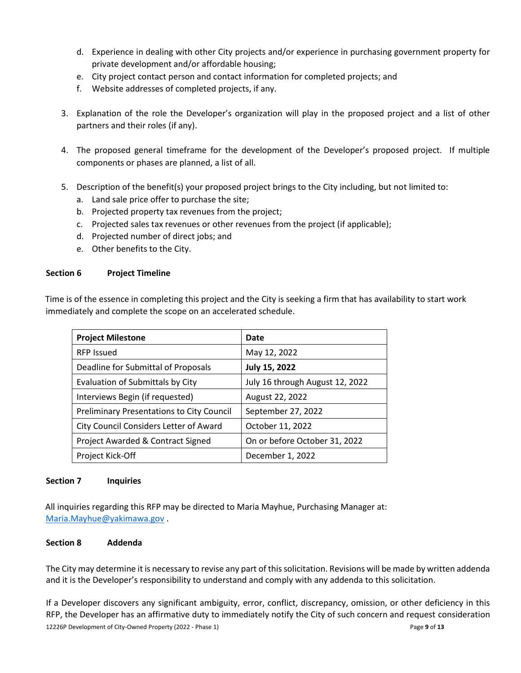- d. Experience in dealing with other City projects and/or experience in purchasing government property for private development and/or affordable housing;
- e. City project contact person and contact information for completed projects; and
- f. Website addresses of completed projects, if any.
- 3. Explanation of the role the Developer's organization will play in the proposed project and a list of other partners and their roles (if any).
- 4. The proposed general timeframe for the development of the Developer's proposed project. If multiple components or phases are planned, a list of all.
- 5. Description of the benefit(s) your proposed project brings to the City including, but not limited to:
	- a. Land sale price offer to purchase the site;
	- b. Projected property tax revenues from the project;
	- c. Projected sales tax revenues or other revenues from the project (if applicable);
	- d. Projected number of direct jobs; and
	- e. Other benefits to the City.

# <span id="page-8-0"></span>**Section 6 Project Timeline**

Time is of the essence in completing this project and the City is seeking a firm that has availability to start work immediately and complete the scope on an accelerated schedule.

| <b>Project Milestone</b>                         | Date                            |
|--------------------------------------------------|---------------------------------|
| <b>RFP Issued</b>                                | May 12, 2022                    |
| Deadline for Submittal of Proposals              | July 15, 2022                   |
| Evaluation of Submittals by City                 | July 16 through August 12, 2022 |
| Interviews Begin (if requested)                  | August 22, 2022                 |
| <b>Preliminary Presentations to City Council</b> | September 27, 2022              |
| City Council Considers Letter of Award           | October 11, 2022                |
| Project Awarded & Contract Signed                | On or before October 31, 2022   |
| Project Kick-Off                                 | December 1, 2022                |

# <span id="page-8-1"></span>**Section 7 Inquiries**

All inquiries regarding this RFP may be directed to Maria Mayhue, Purchasing Manager at: [Maria.Mayhue@yakimawa.gov](mailto:Maria.Mayhue@yakimawa.gov) .

# <span id="page-8-2"></span>**Section 8 Addenda**

The City may determine it is necessary to revise any part of this solicitation. Revisions will be made by written addenda and it is the Developer's responsibility to understand and comply with any addenda to this solicitation.

12226P Development of City-Owned Property (2022 - Phase 1) Page **9** of **13** If a Developer discovers any significant ambiguity, error, conflict, discrepancy, omission, or other deficiency in this RFP, the Developer has an affirmative duty to immediately notify the City of such concern and request consideration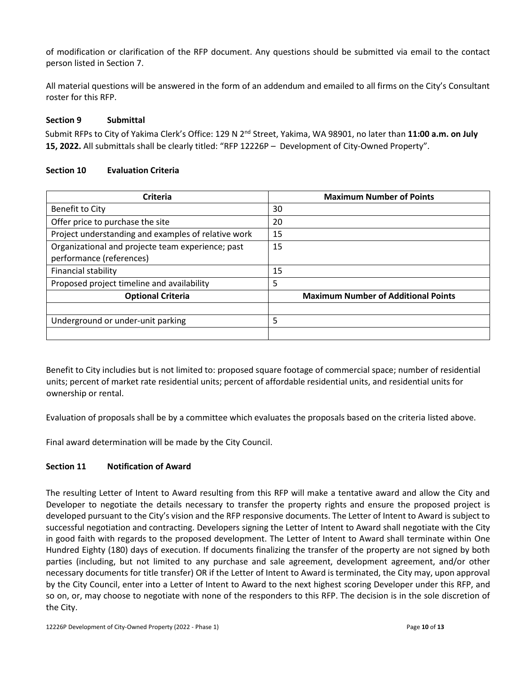of modification or clarification of the RFP document. Any questions should be submitted via email to the contact person listed in Section 7.

All material questions will be answered in the form of an addendum and emailed to all firms on the City's Consultant roster for this RFP.

#### <span id="page-9-0"></span>**Section 9 Submittal**

Submit RFPs to City of Yakima Clerk's Office: 129 N 2nd Street, Yakima, WA 98901, no later than **11:00 a.m. on July 15, 2022.** All submittals shall be clearly titled: "RFP 12226P – Development of City-Owned Property".

#### <span id="page-9-1"></span>**Section 10 Evaluation Criteria**

| Criteria                                            | <b>Maximum Number of Points</b>            |  |
|-----------------------------------------------------|--------------------------------------------|--|
| Benefit to City                                     | 30                                         |  |
| Offer price to purchase the site                    | 20                                         |  |
| Project understanding and examples of relative work | 15                                         |  |
| Organizational and projecte team experience; past   | 15                                         |  |
| performance (references)                            |                                            |  |
| Financial stability                                 | 15                                         |  |
| Proposed project timeline and availability          | 5                                          |  |
| <b>Optional Criteria</b>                            | <b>Maximum Number of Additional Points</b> |  |
|                                                     |                                            |  |
| Underground or under-unit parking                   | 5                                          |  |
|                                                     |                                            |  |

Benefit to City includies but is not limited to: proposed square footage of commercial space; number of residential units; percent of market rate residential units; percent of affordable residential units, and residential units for ownership or rental.

Evaluation of proposals shall be by a committee which evaluates the proposals based on the criteria listed above.

Final award determination will be made by the City Council.

# <span id="page-9-2"></span>**Section 11 Notification of Award**

The resulting Letter of Intent to Award resulting from this RFP will make a tentative award and allow the City and Developer to negotiate the details necessary to transfer the property rights and ensure the proposed project is developed pursuant to the City's vision and the RFP responsive documents. The Letter of Intent to Award is subject to successful negotiation and contracting. Developers signing the Letter of Intent to Award shall negotiate with the City in good faith with regards to the proposed development. The Letter of Intent to Award shall terminate within One Hundred Eighty (180) days of execution. If documents finalizing the transfer of the property are not signed by both parties (including, but not limited to any purchase and sale agreement, development agreement, and/or other necessary documents for title transfer) OR if the Letter of Intent to Award is terminated, the City may, upon approval by the City Council, enter into a Letter of Intent to Award to the next highest scoring Developer under this RFP, and so on, or, may choose to negotiate with none of the responders to this RFP. The decision is in the sole discretion of the City.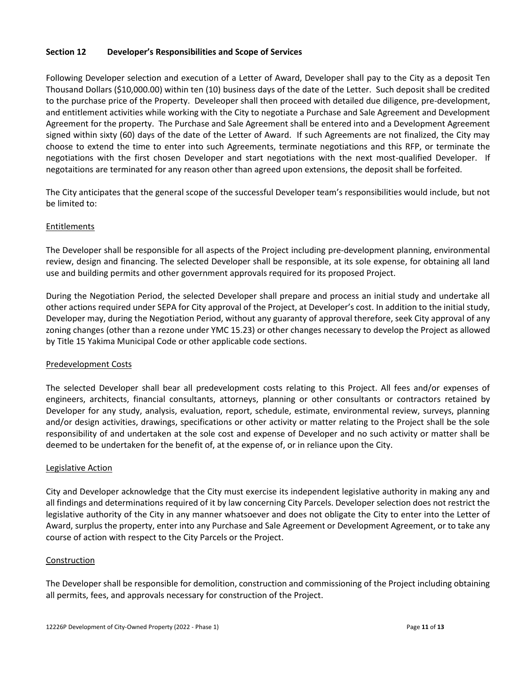# <span id="page-10-0"></span>**Section 12 Developer's Responsibilities and Scope of Services**

Following Developer selection and execution of a Letter of Award, Developer shall pay to the City as a deposit Ten Thousand Dollars (\$10,000.00) within ten (10) business days of the date of the Letter. Such deposit shall be credited to the purchase price of the Property. Develeoper shall then proceed with detailed due diligence, pre-development, and entitlement activities while working with the City to negotiate a Purchase and Sale Agreement and Development Agreement for the property. The Purchase and Sale Agreement shall be entered into and a Development Agreement signed within sixty (60) days of the date of the Letter of Award. If such Agreements are not finalized, the City may choose to extend the time to enter into such Agreements, terminate negotiations and this RFP, or terminate the negotiations with the first chosen Developer and start negotiations with the next most-qualified Developer. If negotaitions are terminated for any reason other than agreed upon extensions, the deposit shall be forfeited.

The City anticipates that the general scope of the successful Developer team's responsibilities would include, but not be limited to:

#### <span id="page-10-1"></span>Entitlements

The Developer shall be responsible for all aspects of the Project including pre-development planning, environmental review, design and financing. The selected Developer shall be responsible, at its sole expense, for obtaining all land use and building permits and other government approvals required for its proposed Project.

During the Negotiation Period, the selected Developer shall prepare and process an initial study and undertake all other actions required under SEPA for City approval of the Project, at Developer's cost. In addition to the initial study, Developer may, during the Negotiation Period, without any guaranty of approval therefore, seek City approval of any zoning changes (other than a rezone under YMC 15.23) or other changes necessary to develop the Project as allowed by Title 15 Yakima Municipal Code or other applicable code sections.

# <span id="page-10-2"></span>Predevelopment Costs

The selected Developer shall bear all predevelopment costs relating to this Project. All fees and/or expenses of engineers, architects, financial consultants, attorneys, planning or other consultants or contractors retained by Developer for any study, analysis, evaluation, report, schedule, estimate, environmental review, surveys, planning and/or design activities, drawings, specifications or other activity or matter relating to the Project shall be the sole responsibility of and undertaken at the sole cost and expense of Developer and no such activity or matter shall be deemed to be undertaken for the benefit of, at the expense of, or in reliance upon the City.

#### <span id="page-10-3"></span>Legislative Action

City and Developer acknowledge that the City must exercise its independent legislative authority in making any and all findings and determinations required of it by law concerning City Parcels. Developer selection does not restrict the legislative authority of the City in any manner whatsoever and does not obligate the City to enter into the Letter of Award, surplus the property, enter into any Purchase and Sale Agreement or Development Agreement, or to take any course of action with respect to the City Parcels or the Project.

#### <span id="page-10-4"></span>Construction

The Developer shall be responsible for demolition, construction and commissioning of the Project including obtaining all permits, fees, and approvals necessary for construction of the Project.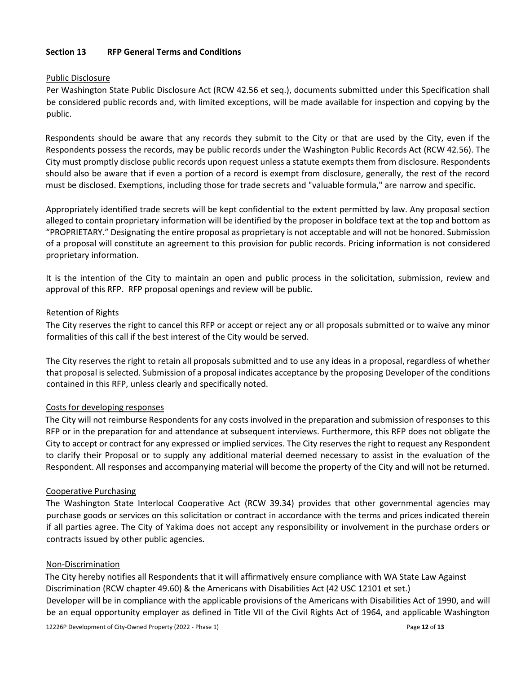# <span id="page-11-0"></span>**Section 13 RFP General Terms and Conditions**

#### <span id="page-11-1"></span>Public Disclosure

Per Washington State Public Disclosure Act (RCW 42.56 et seq.), documents submitted under this Specification shall be considered public records and, with limited exceptions, will be made available for inspection and copying by the public.

Respondents should be aware that any records they submit to the City or that are used by the City, even if the Respondents possess the records, may be public records under the Washington Public Records Act (RCW 42.56). The City must promptly disclose public records upon request unless a statute exempts them from disclosure. Respondents should also be aware that if even a portion of a record is exempt from disclosure, generally, the rest of the record must be disclosed. Exemptions, including those for trade secrets and "valuable formula," are narrow and specific.

Appropriately identified trade secrets will be kept confidential to the extent permitted by law. Any proposal section alleged to contain proprietary information will be identified by the proposer in boldface text at the top and bottom as "PROPRIETARY." Designating the entire proposal as proprietary is not acceptable and will not be honored. Submission of a proposal will constitute an agreement to this provision for public records. Pricing information is not considered proprietary information.

It is the intention of the City to maintain an open and public process in the solicitation, submission, review and approval of this RFP. RFP proposal openings and review will be public.

#### <span id="page-11-2"></span>Retention of Rights

The City reserves the right to cancel this RFP or accept or reject any or all proposals submitted or to waive any minor formalities of this call if the best interest of the City would be served.

The City reserves the right to retain all proposals submitted and to use any ideas in a proposal, regardless of whether that proposal is selected. Submission of a proposal indicates acceptance by the proposing Developer of the conditions contained in this RFP, unless clearly and specifically noted.

# <span id="page-11-3"></span>Costs for developing responses

The City will not reimburse Respondents for any costs involved in the preparation and submission of responses to this RFP or in the preparation for and attendance at subsequent interviews. Furthermore, this RFP does not obligate the City to accept or contract for any expressed or implied services. The City reserves the right to request any Respondent to clarify their Proposal or to supply any additional material deemed necessary to assist in the evaluation of the Respondent. All responses and accompanying material will become the property of the City and will not be returned.

# <span id="page-11-4"></span>Cooperative Purchasing

The Washington State Interlocal Cooperative Act (RCW 39.34) provides that other governmental agencies may purchase goods or services on this solicitation or contract in accordance with the terms and prices indicated therein if all parties agree. The City of Yakima does not accept any responsibility or involvement in the purchase orders or contracts issued by other public agencies.

#### <span id="page-11-5"></span>Non-Discrimination

The City hereby notifies all Respondents that it will affirmatively ensure compliance with WA State Law Against Discrimination (RCW chapter 49.60) & the Americans with Disabilities Act (42 USC 12101 et set.) Developer will be in compliance with the applicable provisions of the Americans with Disabilities Act of 1990, and will be an equal opportunity employer as defined in Title VII of the Civil Rights Act of 1964, and applicable Washington